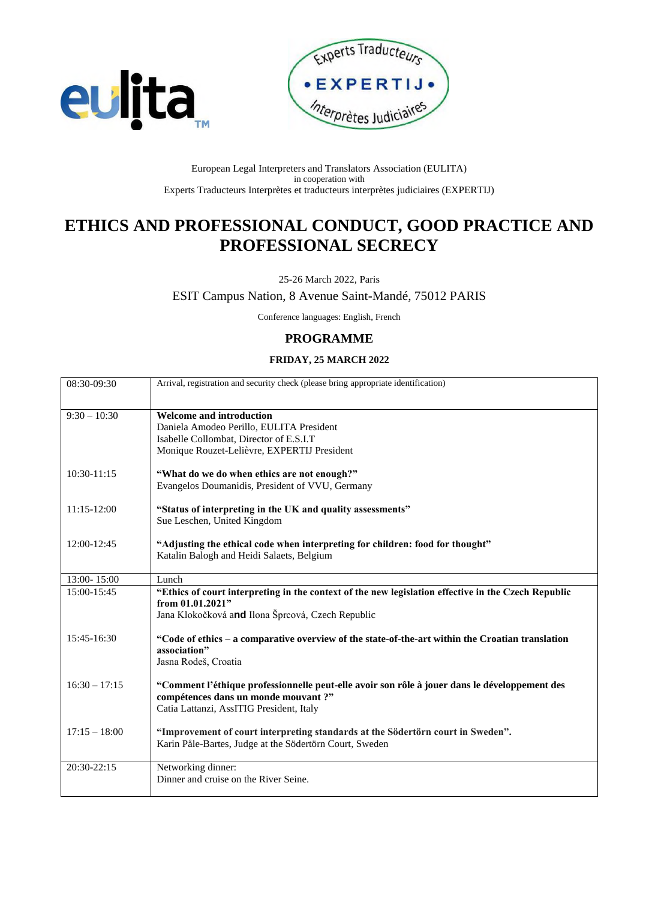



#### European Legal Interpreters and Translators Association (EULITA) in cooperation with Experts Traducteurs Interprètes et traducteurs interprètes judiciaires (EXPERTIJ)

# **ETHICS AND PROFESSIONAL CONDUCT, GOOD PRACTICE AND PROFESSIONAL SECRECY**

25-26 March 2022, Paris

ESIT Campus Nation, 8 Avenue Saint-Mandé, 75012 PARIS

Conference languages: English, French

## **PROGRAMME**

## **FRIDAY, 25 MARCH 2022**

| 08:30-09:30     | Arrival, registration and security check (please bring appropriate identification)                                      |
|-----------------|-------------------------------------------------------------------------------------------------------------------------|
| $9:30 - 10:30$  | <b>Welcome and introduction</b>                                                                                         |
|                 | Daniela Amodeo Perillo, EULITA President                                                                                |
|                 | Isabelle Collombat, Director of E.S.I.T                                                                                 |
|                 | Monique Rouzet-Lelièvre, EXPERTIJ President                                                                             |
| $10:30-11:15$   | "What do we do when ethics are not enough?"                                                                             |
|                 | Evangelos Doumanidis, President of VVU, Germany                                                                         |
| $11:15-12:00$   | "Status of interpreting in the UK and quality assessments"                                                              |
|                 | Sue Leschen, United Kingdom                                                                                             |
| 12:00-12:45     | "Adjusting the ethical code when interpreting for children: food for thought"                                           |
|                 | Katalin Balogh and Heidi Salaets, Belgium                                                                               |
|                 |                                                                                                                         |
| 13:00-15:00     | Lunch                                                                                                                   |
| 15:00-15:45     | "Ethics of court interpreting in the context of the new legislation effective in the Czech Republic<br>from 01.01.2021" |
|                 | Jana Klokočková and Ilona Šprcová, Czech Republic                                                                       |
|                 |                                                                                                                         |
| 15:45-16:30     | "Code of ethics – a comparative overview of the state-of-the-art within the Croatian translation<br>association"        |
|                 | Jasna Rodeš, Croatia                                                                                                    |
|                 |                                                                                                                         |
| $16:30 - 17:15$ | "Comment l'éthique professionnelle peut-elle avoir son rôle à jouer dans le développement des                           |
|                 | compétences dans un monde mouvant ?"<br>Catia Lattanzi, AssITIG President, Italy                                        |
|                 |                                                                                                                         |
| $17:15 - 18:00$ | "Improvement of court interpreting standards at the Södertörn court in Sweden".                                         |
|                 | Karin Påle-Bartes, Judge at the Södertörn Court, Sweden                                                                 |
| 20:30-22:15     | Networking dinner:                                                                                                      |
|                 | Dinner and cruise on the River Seine.                                                                                   |
|                 |                                                                                                                         |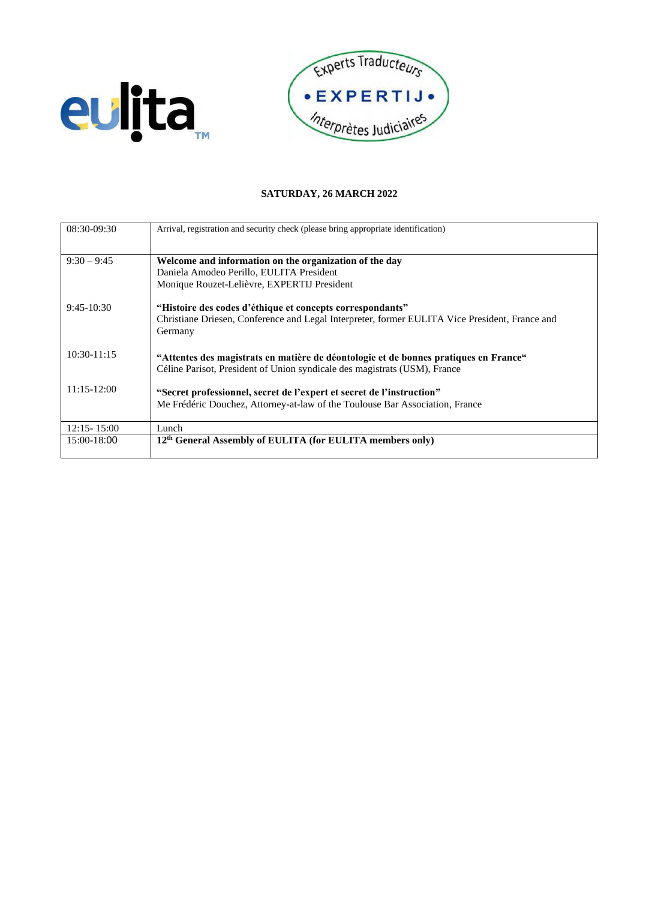



## **SATURDAY, 26 MARCH 2022**

| 08:30-09:30     | Arrival, registration and security check (please bring appropriate identification)                                                                                |
|-----------------|-------------------------------------------------------------------------------------------------------------------------------------------------------------------|
| $9:30 - 9:45$   | Welcome and information on the organization of the day                                                                                                            |
|                 | Daniela Amodeo Perillo, EULITA President                                                                                                                          |
|                 | Monique Rouzet-Lelièvre, EXPERTIJ President                                                                                                                       |
| $9:45-10:30$    | "Histoire des codes d'éthique et concepts correspondants"                                                                                                         |
|                 | Christiane Driesen, Conference and Legal Interpreter, former EULITA Vice President, France and<br>Germany                                                         |
| $10:30-11:15$   | "Attentes des magistrats en matière de déontologie et de bonnes pratiques en France"<br>Céline Parisot, President of Union syndicale des magistrats (USM), France |
| $11:15-12:00$   | "Secret professionnel, secret de l'expert et secret de l'instruction"                                                                                             |
|                 | Me Frédéric Douchez, Attorney-at-law of the Toulouse Bar Association, France                                                                                      |
| $12:15 - 15:00$ | Lunch                                                                                                                                                             |
| 15:00-18:00     | 12 <sup>th</sup> General Assembly of EULITA (for EULITA members only)                                                                                             |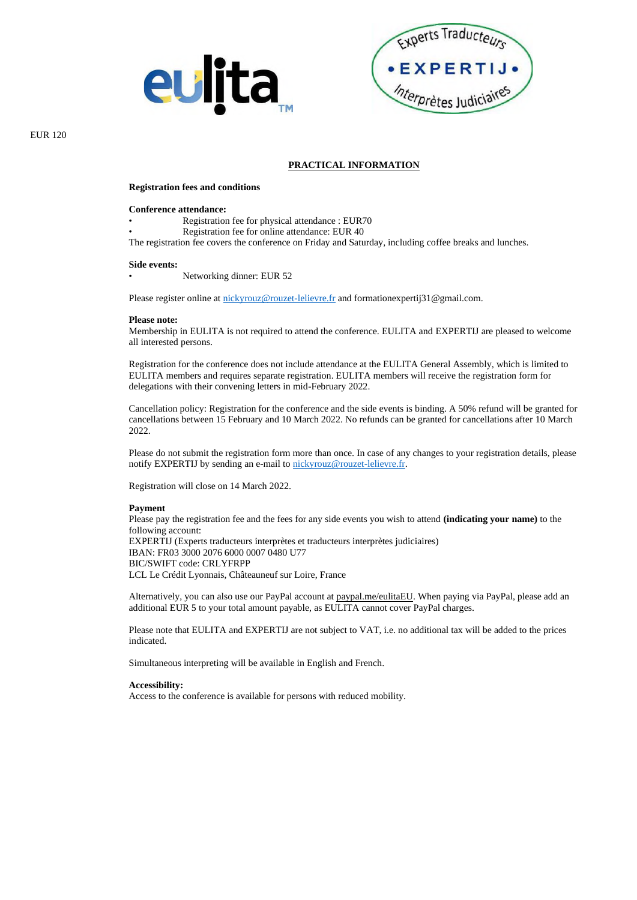



EUR 120

### **PRACTICAL INFORMATION**

#### **Registration fees and conditions**

#### **Conference attendance:**

• Registration fee for physical attendance : EUR70 Registration fee for online attendance: EUR 40

The registration fee covers the conference on Friday and Saturday, including coffee breaks and lunches.

#### **Side events:**

• Networking dinner: EUR 52

Please register online at  $\frac{nickyrouz@rouzet-lelievre.fr}{relievre.fr}$  $\frac{nickyrouz@rouzet-lelievre.fr}{relievre.fr}$  $\frac{nickyrouz@rouzet-lelievre.fr}{relievre.fr}$  and formationexpertij31@gmail.com.

#### **Please note:**

Membership in EULITA is not required to attend the conference. EULITA and EXPERTIJ are pleased to welcome all interested persons.

Registration for the conference does not include attendance at the EULITA General Assembly, which is limited to EULITA members and requires separate registration. EULITA members will receive the registration form for delegations with their convening letters in mid-February 2022.

Cancellation policy: Registration for the conference and the side events is binding. A 50% refund will be granted for cancellations between 15 February and 10 March 2022. No refunds can be granted for cancellations after 10 March 2022.

Please do not submit the registration form more than once. In case of any changes to your registration details, please notify EXPERTIJ by sending an e-mail to [nickyrouz@rouzet-lelievre.fr.](mailto:nickyrouz@rouzet-lelievre.fr)

Registration will close on 14 March 2022.

#### **Payment**

Please pay the registration fee and the fees for any side events you wish to attend **(indicating your name)** to the following account: EXPERTIJ (Experts traducteurs interprètes et traducteurs interprètes judiciaires) IBAN: FR03 3000 2076 6000 0007 0480 U77 BIC/SWIFT code: CRLYFRPP LCL Le Crédit Lyonnais, Châteauneuf sur Loire, France

Alternatively, you can also use our PayPal account at paypal.me/eulitaEU. When paying via PayPal, please add an additional EUR 5 to your total amount payable, as EULITA cannot cover PayPal charges.

Please note that EULITA and EXPERTIJ are not subject to VAT, i.e. no additional tax will be added to the prices indicated.

Simultaneous interpreting will be available in English and French.

#### **Accessibility:**

Access to the conference is available for persons with reduced mobility.